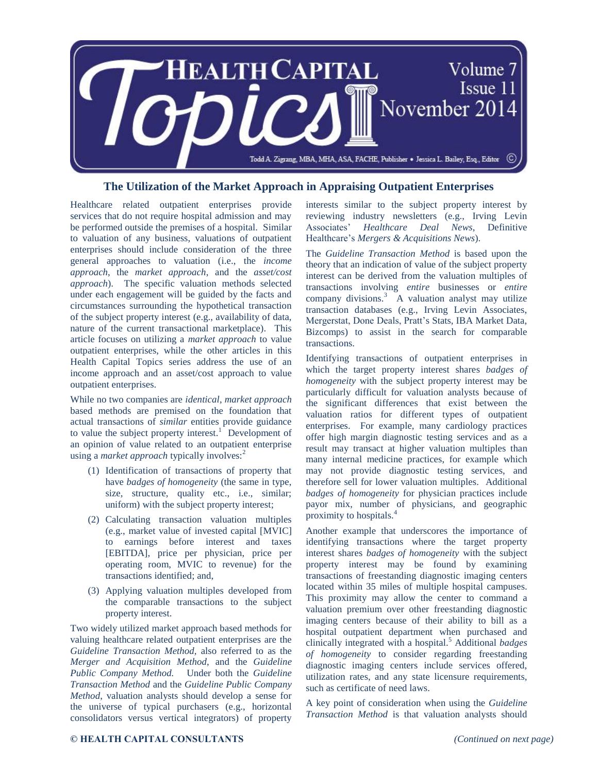

## **The Utilization of the Market Approach in Appraising Outpatient Enterprises**

Healthcare related outpatient enterprises provide services that do not require hospital admission and may be performed outside the premises of a hospital. Similar to valuation of any business, valuations of outpatient enterprises should include consideration of the three general approaches to valuation (i.e., the *income approach*, the *market approach*, and the *asset/cost approach*). The specific valuation methods selected under each engagement will be guided by the facts and circumstances surrounding the hypothetical transaction of the subject property interest (e.g., availability of data, nature of the current transactional marketplace). This article focuses on utilizing a *market approach* to value outpatient enterprises, while the other articles in this Health Capital Topics series address the use of an income approach and an asset/cost approach to value outpatient enterprises.

While no two companies are *identical*, *market approach* based methods are premised on the foundation that actual transactions of *similar* entities provide guidance to value the subject property interest.<sup>1</sup> Development of an opinion of value related to an outpatient enterprise using a *market approach* typically involves:<sup>2</sup>

- (1) Identification of transactions of property that have *badges of homogeneity* (the same in type, size, structure, quality etc., i.e., similar; uniform) with the subject property interest;
- (2) Calculating transaction valuation multiples (e.g., market value of invested capital [MVIC] to earnings before interest and taxes [EBITDA], price per physician, price per operating room, MVIC to revenue) for the transactions identified; and,
- (3) Applying valuation multiples developed from the comparable transactions to the subject property interest.

Two widely utilized market approach based methods for valuing healthcare related outpatient enterprises are the *Guideline Transaction Method,* also referred to as the *Merger and Acquisition Method*, and the *Guideline Public Company Method.* Under both the *Guideline Transaction Method* and the *Guideline Public Company Method*, valuation analysts should develop a sense for the universe of typical purchasers (e.g., horizontal consolidators versus vertical integrators) of property

interests similar to the subject property interest by reviewing industry newsletters (e.g., Irving Levin Associates' *Healthcare Deal News*, Definitive Healthcare's *Mergers & Acquisitions News*).

The *Guideline Transaction Method* is based upon the theory that an indication of value of the subject property interest can be derived from the valuation multiples of transactions involving *entire* businesses or *entire* company divisions. 3 A valuation analyst may utilize transaction databases (e.g., Irving Levin Associates, Mergerstat, Done Deals, Pratt's Stats, IBA Market Data, Bizcomps) to assist in the search for comparable transactions.

Identifying transactions of outpatient enterprises in which the target property interest shares *badges of homogeneity* with the subject property interest may be particularly difficult for valuation analysts because of the significant differences that exist between the valuation ratios for different types of outpatient enterprises. For example, many cardiology practices offer high margin diagnostic testing services and as a result may transact at higher valuation multiples than many internal medicine practices, for example which may not provide diagnostic testing services, and therefore sell for lower valuation multiples. Additional *badges of homogeneity* for physician practices include payor mix, number of physicians, and geographic proximity to hospitals. $4$ 

Another example that underscores the importance of identifying transactions where the target property interest shares *badges of homogeneity* with the subject property interest may be found by examining transactions of freestanding diagnostic imaging centers located within 35 miles of multiple hospital campuses. This proximity may allow the center to command a valuation premium over other freestanding diagnostic imaging centers because of their ability to bill as a hospital outpatient department when purchased and clinically integrated with a hospital.<sup>5</sup> Additional *badges of homogeneity* to consider regarding freestanding diagnostic imaging centers include services offered, utilization rates, and any state licensure requirements, such as certificate of need laws.

A key point of consideration when using the *Guideline Transaction Method* is that valuation analysts should